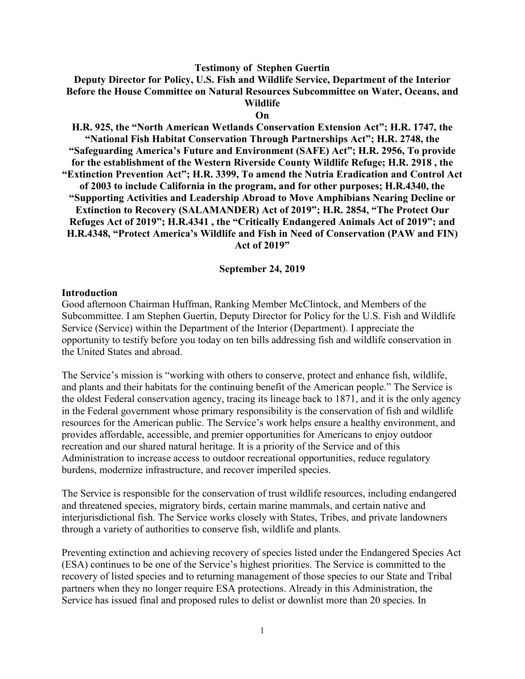#### **Testimony of Stephen Guertin**

**Deputy Director for Policy, U.S. Fish and Wildlife Service, Department of the Interior Before the House Committee on Natural Resources Subcommittee on Water, Oceans, and Wildlife**

#### **On**

**H.R. 925, the "North American Wetlands Conservation Extension Act"; H.R. 1747, the "National Fish Habitat Conservation Through Partnerships Act"; H.R. 2748, the "Safeguarding America's Future and Environment (SAFE) Act"; H.R. 2956, To provide for the establishment of the Western Riverside County Wildlife Refuge; H.R. 2918 , the "Extinction Prevention Act"; H.R. 3399, To amend the Nutria Eradication and Control Act of 2003 to include California in the program, and for other purposes; H.R.4340, the "Supporting Activities and Leadership Abroad to Move Amphibians Nearing Decline or Extinction to Recovery (SALAMANDER) Act of 2019"; H.R. 2854, "The Protect Our Refuges Act of 2019"; H.R.4341 , the "Critically Endangered Animals Act of 2019"; and H.R.4348, "Protect America's Wildlife and Fish in Need of Conservation (PAW and FIN) Act of 2019"**

#### **September 24, 2019**

#### **Introduction**

Good afternoon Chairman Huffman, Ranking Member McClintock, and Members of the Subcommittee. I am Stephen Guertin, Deputy Director for Policy for the U.S. Fish and Wildlife Service (Service) within the Department of the Interior (Department). I appreciate the opportunity to testify before you today on ten bills addressing fish and wildlife conservation in the United States and abroad.

The Service's mission is "working with others to conserve, protect and enhance fish, wildlife, and plants and their habitats for the continuing benefit of the American people." The Service is the oldest Federal conservation agency, tracing its lineage back to 1871, and it is the only agency in the Federal government whose primary responsibility is the conservation of fish and wildlife resources for the American public. The Service's work helps ensure a healthy environment, and provides affordable, accessible, and premier opportunities for Americans to enjoy outdoor recreation and our shared natural heritage. It is a priority of the Service and of this Administration to increase access to outdoor recreational opportunities, reduce regulatory burdens, modernize infrastructure, and recover imperiled species.

The Service is responsible for the conservation of trust wildlife resources, including endangered and threatened species, migratory birds, certain marine mammals, and certain native and interjurisdictional fish. The Service works closely with States, Tribes, and private landowners through a variety of authorities to conserve fish, wildlife and plants.

Preventing extinction and achieving recovery of species listed under the Endangered Species Act (ESA) continues to be one of the Service's highest priorities. The Service is committed to the recovery of listed species and to returning management of those species to our State and Tribal partners when they no longer require ESA protections. Already in this Administration, the Service has issued final and proposed rules to delist or downlist more than 20 species. In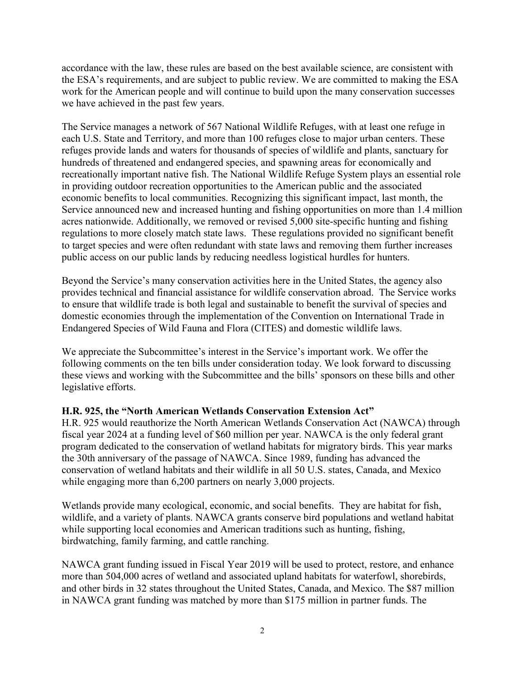accordance with the law, these rules are based on the best available science, are consistent with the ESA's requirements, and are subject to public review. We are committed to making the ESA work for the American people and will continue to build upon the many conservation successes we have achieved in the past few years.

The Service manages a network of 567 National Wildlife Refuges, with at least one refuge in each U.S. State and Territory, and more than 100 refuges close to major urban centers. These refuges provide lands and waters for thousands of species of wildlife and plants, sanctuary for hundreds of threatened and endangered species, and spawning areas for economically and recreationally important native fish. The National Wildlife Refuge System plays an essential role in providing outdoor recreation opportunities to the American public and the associated economic benefits to local communities. Recognizing this significant impact, last month, the Service announced new and increased hunting and fishing opportunities on more than 1.4 million acres nationwide. Additionally, we removed or revised 5,000 site-specific hunting and fishing regulations to more closely match state laws. These regulations provided no significant benefit to target species and were often redundant with state laws and removing them further increases public access on our public lands by reducing needless logistical hurdles for hunters.

Beyond the Service's many conservation activities here in the United States, the agency also provides technical and financial assistance for wildlife conservation abroad. The Service works to ensure that wildlife trade is both legal and sustainable to benefit the survival of species and domestic economies through the implementation of the Convention on International Trade in Endangered Species of Wild Fauna and Flora (CITES) and domestic wildlife laws.

We appreciate the Subcommittee's interest in the Service's important work. We offer the following comments on the ten bills under consideration today. We look forward to discussing these views and working with the Subcommittee and the bills' sponsors on these bills and other legislative efforts.

### **H.R. 925, the "North American Wetlands Conservation Extension Act"**

H.R. 925 would reauthorize the North American Wetlands Conservation Act (NAWCA) through fiscal year 2024 at a funding level of \$60 million per year. NAWCA is the only federal grant program dedicated to the conservation of wetland habitats for migratory birds. This year marks the 30th anniversary of the passage of NAWCA. Since 1989, funding has advanced the conservation of wetland habitats and their wildlife in all 50 U.S. states, Canada, and Mexico while engaging more than 6,200 partners on nearly 3,000 projects.

Wetlands provide many ecological, economic, and social benefits. They are habitat for fish, wildlife, and a variety of plants. NAWCA grants conserve bird populations and wetland habitat while supporting local economies and American traditions such as hunting, fishing, birdwatching, family farming, and cattle ranching.

NAWCA grant funding issued in Fiscal Year 2019 will be used to protect, restore, and enhance more than 504,000 acres of wetland and associated upland habitats for waterfowl, shorebirds, and other birds in 32 states throughout the United States, Canada, and Mexico. The \$87 million in NAWCA grant funding was matched by more than \$175 million in partner funds. The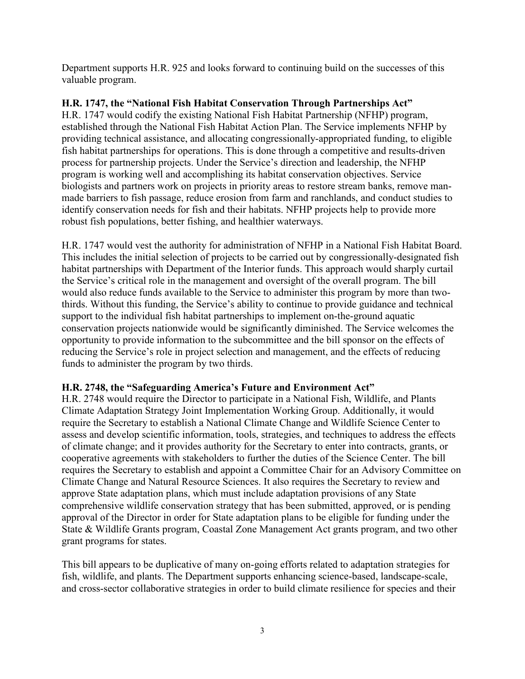Department supports H.R. 925 and looks forward to continuing build on the successes of this valuable program.

## **H.R. 1747, the "National Fish Habitat Conservation Through Partnerships Act"**

H.R. 1747 would codify the existing National Fish Habitat Partnership (NFHP) program, established through the National Fish Habitat Action Plan. The Service implements NFHP by providing technical assistance, and allocating congressionally-appropriated funding, to eligible fish habitat partnerships for operations. This is done through a competitive and results-driven process for partnership projects. Under the Service's direction and leadership, the NFHP program is working well and accomplishing its habitat conservation objectives. Service biologists and partners work on projects in priority areas to restore stream banks, remove manmade barriers to fish passage, reduce erosion from farm and ranchlands, and conduct studies to identify conservation needs for fish and their habitats. NFHP projects help to provide more robust fish populations, better fishing, and healthier waterways.

H.R. 1747 would vest the authority for administration of NFHP in a National Fish Habitat Board. This includes the initial selection of projects to be carried out by congressionally-designated fish habitat partnerships with Department of the Interior funds. This approach would sharply curtail the Service's critical role in the management and oversight of the overall program. The bill would also reduce funds available to the Service to administer this program by more than twothirds. Without this funding, the Service's ability to continue to provide guidance and technical support to the individual fish habitat partnerships to implement on-the-ground aquatic conservation projects nationwide would be significantly diminished. The Service welcomes the opportunity to provide information to the subcommittee and the bill sponsor on the effects of reducing the Service's role in project selection and management, and the effects of reducing funds to administer the program by two thirds.

# **H.R. 2748, the "Safeguarding America's Future and Environment Act"**

H.R. 2748 would require the Director to participate in a National Fish, Wildlife, and Plants Climate Adaptation Strategy Joint Implementation Working Group. Additionally, it would require the Secretary to establish a National Climate Change and Wildlife Science Center to assess and develop scientific information, tools, strategies, and techniques to address the effects of climate change; and it provides authority for the Secretary to enter into contracts, grants, or cooperative agreements with stakeholders to further the duties of the Science Center. The bill requires the Secretary to establish and appoint a Committee Chair for an Advisory Committee on Climate Change and Natural Resource Sciences. It also requires the Secretary to review and approve State adaptation plans, which must include adaptation provisions of any State comprehensive wildlife conservation strategy that has been submitted, approved, or is pending approval of the Director in order for State adaptation plans to be eligible for funding under the State & Wildlife Grants program, Coastal Zone Management Act grants program, and two other grant programs for states.

This bill appears to be duplicative of many on-going efforts related to adaptation strategies for fish, wildlife, and plants. The Department supports enhancing science-based, landscape-scale, and cross-sector collaborative strategies in order to build climate resilience for species and their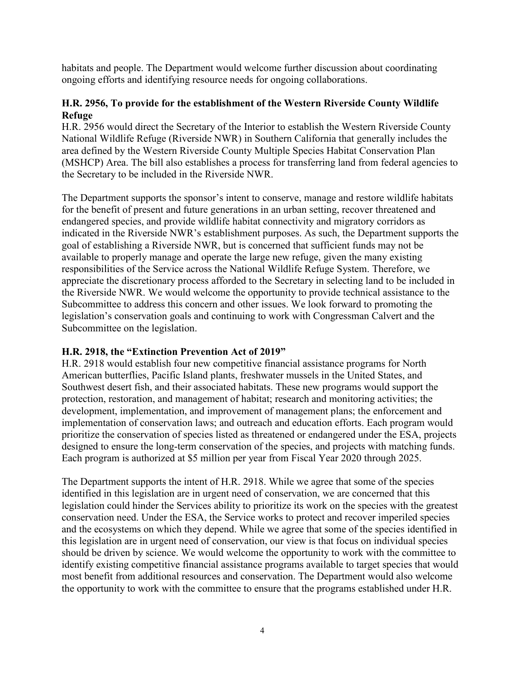habitats and people. The Department would welcome further discussion about coordinating ongoing efforts and identifying resource needs for ongoing collaborations.

## **H.R. 2956, To provide for the establishment of the Western Riverside County Wildlife Refuge**

H.R. 2956 would direct the Secretary of the Interior to establish the Western Riverside County National Wildlife Refuge (Riverside NWR) in Southern California that generally includes the area defined by the Western Riverside County Multiple Species Habitat Conservation Plan (MSHCP) Area. The bill also establishes a process for transferring land from federal agencies to the Secretary to be included in the Riverside NWR.

The Department supports the sponsor's intent to conserve, manage and restore wildlife habitats for the benefit of present and future generations in an urban setting, recover threatened and endangered species, and provide wildlife habitat connectivity and migratory corridors as indicated in the Riverside NWR's establishment purposes. As such, the Department supports the goal of establishing a Riverside NWR, but is concerned that sufficient funds may not be available to properly manage and operate the large new refuge, given the many existing responsibilities of the Service across the National Wildlife Refuge System. Therefore, we appreciate the discretionary process afforded to the Secretary in selecting land to be included in the Riverside NWR. We would welcome the opportunity to provide technical assistance to the Subcommittee to address this concern and other issues. We look forward to promoting the legislation's conservation goals and continuing to work with Congressman Calvert and the Subcommittee on the legislation.

### **H.R. 2918, the "Extinction Prevention Act of 2019"**

H.R. 2918 would establish four new competitive financial assistance programs for North American butterflies, Pacific Island plants, freshwater mussels in the United States, and Southwest desert fish, and their associated habitats. These new programs would support the protection, restoration, and management of habitat; research and monitoring activities; the development, implementation, and improvement of management plans; the enforcement and implementation of conservation laws; and outreach and education efforts. Each program would prioritize the conservation of species listed as threatened or endangered under the ESA, projects designed to ensure the long-term conservation of the species, and projects with matching funds. Each program is authorized at \$5 million per year from Fiscal Year 2020 through 2025.

The Department supports the intent of H.R. 2918. While we agree that some of the species identified in this legislation are in urgent need of conservation, we are concerned that this legislation could hinder the Services ability to prioritize its work on the species with the greatest conservation need. Under the ESA, the Service works to protect and recover imperiled species and the ecosystems on which they depend. While we agree that some of the species identified in this legislation are in urgent need of conservation, our view is that focus on individual species should be driven by science. We would welcome the opportunity to work with the committee to identify existing competitive financial assistance programs available to target species that would most benefit from additional resources and conservation. The Department would also welcome the opportunity to work with the committee to ensure that the programs established under H.R.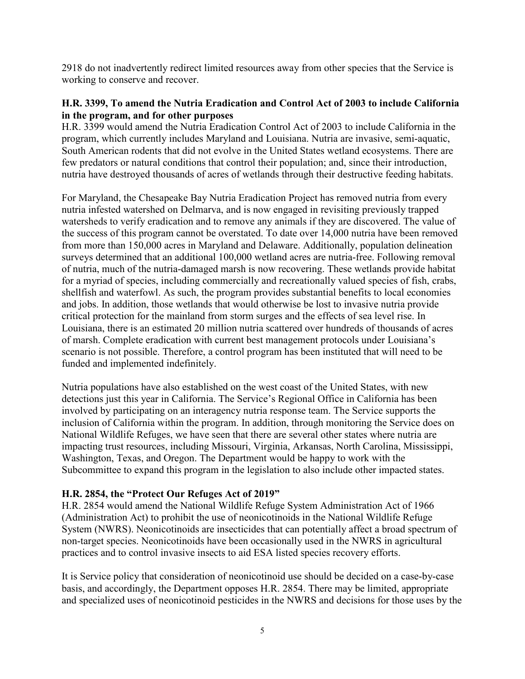2918 do not inadvertently redirect limited resources away from other species that the Service is working to conserve and recover.

## **H.R. 3399, To amend the Nutria Eradication and Control Act of 2003 to include California in the program, and for other purposes**

H.R. 3399 would amend the Nutria Eradication Control Act of 2003 to include California in the program, which currently includes Maryland and Louisiana. Nutria are invasive, semi-aquatic, South American rodents that did not evolve in the United States wetland ecosystems. There are few predators or natural conditions that control their population; and, since their introduction, nutria have destroyed thousands of acres of wetlands through their destructive feeding habitats.

For Maryland, the Chesapeake Bay Nutria Eradication Project has removed nutria from every nutria infested watershed on Delmarva, and is now engaged in revisiting previously trapped watersheds to verify eradication and to remove any animals if they are discovered. The value of the success of this program cannot be overstated. To date over 14,000 nutria have been removed from more than 150,000 acres in Maryland and Delaware. Additionally, population delineation surveys determined that an additional 100,000 wetland acres are nutria-free. Following removal of nutria, much of the nutria-damaged marsh is now recovering. These wetlands provide habitat for a myriad of species, including commercially and recreationally valued species of fish, crabs, shellfish and waterfowl. As such, the program provides substantial benefits to local economies and jobs. In addition, those wetlands that would otherwise be lost to invasive nutria provide critical protection for the mainland from storm surges and the effects of sea level rise. In Louisiana, there is an estimated 20 million nutria scattered over hundreds of thousands of acres of marsh. Complete eradication with current best management protocols under Louisiana's scenario is not possible. Therefore, a control program has been instituted that will need to be funded and implemented indefinitely.

Nutria populations have also established on the west coast of the United States, with new detections just this year in California. The Service's Regional Office in California has been involved by participating on an interagency nutria response team. The Service supports the inclusion of California within the program. In addition, through monitoring the Service does on National Wildlife Refuges, we have seen that there are several other states where nutria are impacting trust resources, including Missouri, Virginia, Arkansas, North Carolina, Mississippi, Washington, Texas, and Oregon. The Department would be happy to work with the Subcommittee to expand this program in the legislation to also include other impacted states.

### **H.R. 2854, the "Protect Our Refuges Act of 2019"**

H.R. 2854 would amend the National Wildlife Refuge System Administration Act of 1966 (Administration Act) to prohibit the use of neonicotinoids in the National Wildlife Refuge System (NWRS). Neonicotinoids are insecticides that can potentially affect a broad spectrum of non-target species. Neonicotinoids have been occasionally used in the NWRS in agricultural practices and to control invasive insects to aid ESA listed species recovery efforts.

It is Service policy that consideration of neonicotinoid use should be decided on a case-by-case basis, and accordingly, the Department opposes H.R. 2854. There may be limited, appropriate and specialized uses of neonicotinoid pesticides in the NWRS and decisions for those uses by the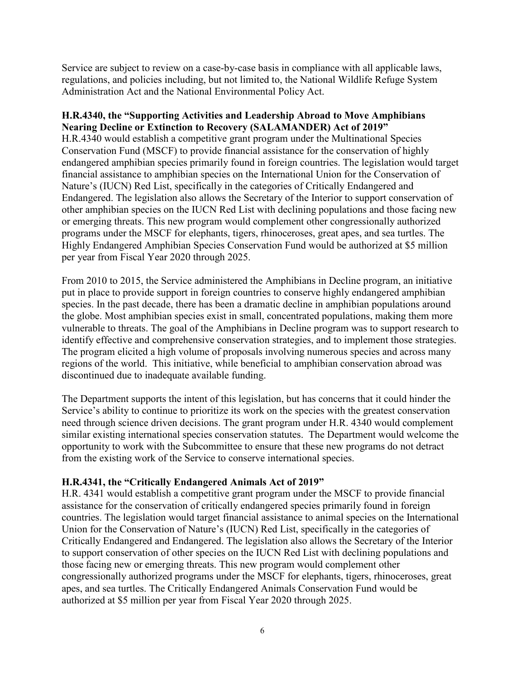Service are subject to review on a case-by-case basis in compliance with all applicable laws, regulations, and policies including, but not limited to, the National Wildlife Refuge System Administration Act and the National Environmental Policy Act.

## **H.R.4340, the "Supporting Activities and Leadership Abroad to Move Amphibians Nearing Decline or Extinction to Recovery (SALAMANDER) Act of 2019"**

H.R.4340 would establish a competitive grant program under the Multinational Species Conservation Fund (MSCF) to provide financial assistance for the conservation of highly endangered amphibian species primarily found in foreign countries. The legislation would target financial assistance to amphibian species on the International Union for the Conservation of Nature's (IUCN) Red List, specifically in the categories of Critically Endangered and Endangered. The legislation also allows the Secretary of the Interior to support conservation of other amphibian species on the IUCN Red List with declining populations and those facing new or emerging threats. This new program would complement other congressionally authorized programs under the MSCF for elephants, tigers, rhinoceroses, great apes, and sea turtles. The Highly Endangered Amphibian Species Conservation Fund would be authorized at \$5 million per year from Fiscal Year 2020 through 2025.

From 2010 to 2015, the Service administered the Amphibians in Decline program, an initiative put in place to provide support in foreign countries to conserve highly endangered amphibian species. In the past decade, there has been a dramatic decline in amphibian populations around the globe. Most amphibian species exist in small, concentrated populations, making them more vulnerable to threats. The goal of the Amphibians in Decline program was to support research to identify effective and comprehensive conservation strategies, and to implement those strategies. The program elicited a high volume of proposals involving numerous species and across many regions of the world. This initiative, while beneficial to amphibian conservation abroad was discontinued due to inadequate available funding.

The Department supports the intent of this legislation, but has concerns that it could hinder the Service's ability to continue to prioritize its work on the species with the greatest conservation need through science driven decisions. The grant program under H.R. 4340 would complement similar existing international species conservation statutes. The Department would welcome the opportunity to work with the Subcommittee to ensure that these new programs do not detract from the existing work of the Service to conserve international species.

# **H.R.4341, the "Critically Endangered Animals Act of 2019"**

H.R. 4341 would establish a competitive grant program under the MSCF to provide financial assistance for the conservation of critically endangered species primarily found in foreign countries. The legislation would target financial assistance to animal species on the International Union for the Conservation of Nature's (IUCN) Red List, specifically in the categories of Critically Endangered and Endangered. The legislation also allows the Secretary of the Interior to support conservation of other species on the IUCN Red List with declining populations and those facing new or emerging threats. This new program would complement other congressionally authorized programs under the MSCF for elephants, tigers, rhinoceroses, great apes, and sea turtles. The Critically Endangered Animals Conservation Fund would be authorized at \$5 million per year from Fiscal Year 2020 through 2025.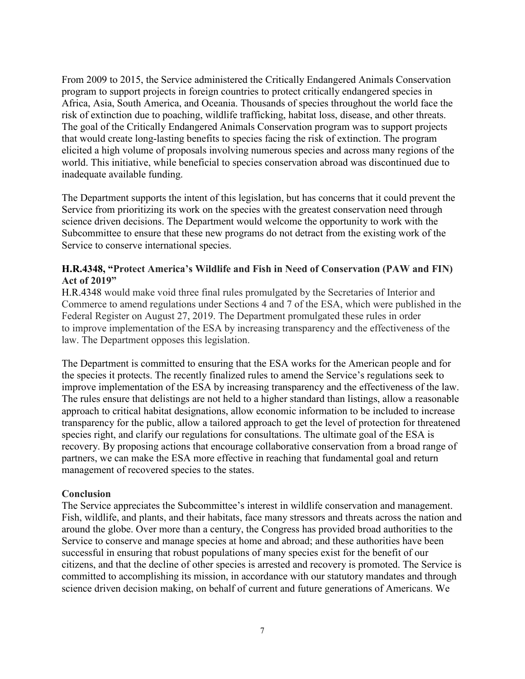From 2009 to 2015, the Service administered the Critically Endangered Animals Conservation program to support projects in foreign countries to protect critically endangered species in Africa, Asia, South America, and Oceania. Thousands of species throughout the world face the risk of extinction due to poaching, wildlife trafficking, habitat loss, disease, and other threats. The goal of the Critically Endangered Animals Conservation program was to support projects that would create long-lasting benefits to species facing the risk of extinction. The program elicited a high volume of proposals involving numerous species and across many regions of the world. This initiative, while beneficial to species conservation abroad was discontinued due to inadequate available funding.

The Department supports the intent of this legislation, but has concerns that it could prevent the Service from prioritizing its work on the species with the greatest conservation need through science driven decisions. The Department would welcome the opportunity to work with the Subcommittee to ensure that these new programs do not detract from the existing work of the Service to conserve international species.

## **H.R.4348, "Protect America's Wildlife and Fish in Need of Conservation (PAW and FIN) Act of 2019"**

H.R.4348 would make void three final rules promulgated by the Secretaries of Interior and Commerce to amend regulations under Sections 4 and 7 of the ESA, which were published in the Federal Register on August 27, 2019. The Department promulgated these rules in order to improve implementation of the ESA by increasing transparency and the effectiveness of the law. The Department opposes this legislation.

The Department is committed to ensuring that the ESA works for the American people and for the species it protects. The recently finalized rules to amend the Service's regulations seek to improve implementation of the ESA by increasing transparency and the effectiveness of the law. The rules ensure that delistings are not held to a higher standard than listings, allow a reasonable approach to critical habitat designations, allow economic information to be included to increase transparency for the public, allow a tailored approach to get the level of protection for threatened species right, and clarify our regulations for consultations. The ultimate goal of the ESA is recovery. By proposing actions that encourage collaborative conservation from a broad range of partners, we can make the ESA more effective in reaching that fundamental goal and return management of recovered species to the states.

### **Conclusion**

The Service appreciates the Subcommittee's interest in wildlife conservation and management. Fish, wildlife, and plants, and their habitats, face many stressors and threats across the nation and around the globe. Over more than a century, the Congress has provided broad authorities to the Service to conserve and manage species at home and abroad; and these authorities have been successful in ensuring that robust populations of many species exist for the benefit of our citizens, and that the decline of other species is arrested and recovery is promoted. The Service is committed to accomplishing its mission, in accordance with our statutory mandates and through science driven decision making, on behalf of current and future generations of Americans. We